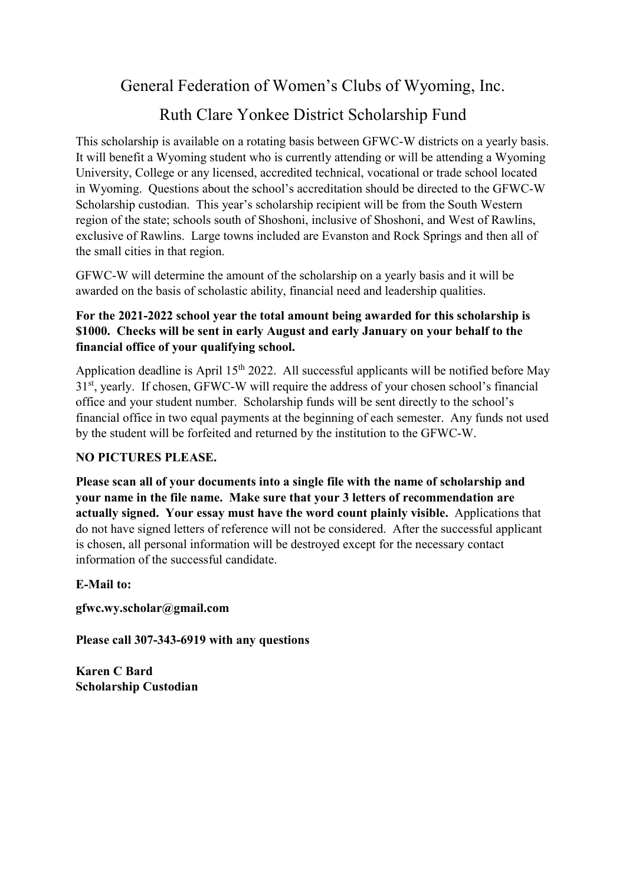General Federation of Women's Clubs of Wyoming, Inc.

# Ruth Clare Yonkee District Scholarship Fund

This scholarship is available on a rotating basis between GFWC-W districts on a yearly basis. It will benefit a Wyoming student who is currently attending or will be attending a Wyoming University, College or any licensed, accredited technical, vocational or trade school located in Wyoming. Questions about the school's accreditation should be directed to the GFWC-W Scholarship custodian. This year's scholarship recipient will be from the South Western region of the state; schools south of Shoshoni, inclusive of Shoshoni, and West of Rawlins, exclusive of Rawlins. Large towns included are Evanston and Rock Springs and then all of the small cities in that region.

GFWC-W will determine the amount of the scholarship on a yearly basis and it will be awarded on the basis of scholastic ability, financial need and leadership qualities.

### For the 2021-2022 school year the total amount being awarded for this scholarship is \$1000. Checks will be sent in early August and early January on your behalf to the financial office of your qualifying school.

Application deadline is April 15<sup>th</sup> 2022. All successful applicants will be notified before May 31st, yearly. If chosen, GFWC-W will require the address of your chosen school's financial office and your student number. Scholarship funds will be sent directly to the school's financial office in two equal payments at the beginning of each semester. Any funds not used by the student will be forfeited and returned by the institution to the GFWC-W.

### NO PICTURES PLEASE.

Please scan all of your documents into a single file with the name of scholarship and your name in the file name. Make sure that your 3 letters of recommendation are actually signed. Your essay must have the word count plainly visible. Applications that do not have signed letters of reference will not be considered. After the successful applicant is chosen, all personal information will be destroyed except for the necessary contact information of the successful candidate.

#### E-Mail to:

gfwc.wy.scholar@gmail.com

Please call 307-343-6919 with any questions

Karen C Bard Scholarship Custodian